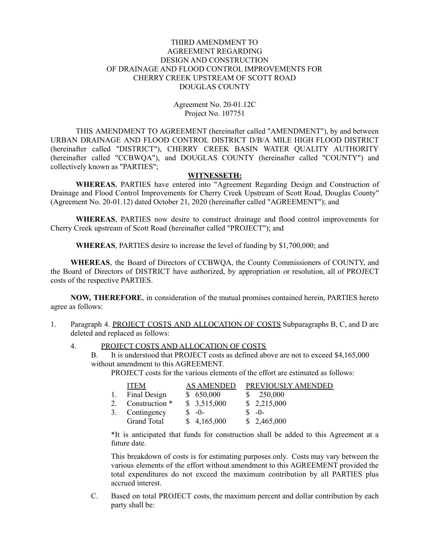### THIRD AMENDMENT TO AGREEMENT REGARDING DESIGN AND CONSTRUCTION OF DRAINAGE AND FLOOD CONTROL IMPROVEMENTS FOR CHERRY CREEK UPSTREAM OF SCOTT ROAD DOUGLAS COUNTY

### Agreement No. 20-01.12C Project No. 107751

THIS AMENDMENT TO AGREEMENT (hereinafter called "AMENDMENT"), by and between URBAN DRAINAGE AND FLOOD CONTROL DISTRICT D/B/A MILE HIGH FLOOD DISTRICT (hereinafter called "DISTRICT"), CHERRY CREEK BASIN WATER QUALITY AUTHORITY (hereinafter called "CCBWQA"), and DOUGLAS COUNTY (hereinafter called "COUNTY") and collectively known as "PARTIES";

#### **WITNESSETH:**

**WHEREAS**, PARTIES have entered into "Agreement Regarding Design and Construction of Drainage and Flood Control Improvements for Cherry Creek Upstream of Scott Road, Douglas County" (Agreement No. 20-01.12) dated October 21, 2020 (hereinafter called "AGREEMENT"); and

**WHEREAS**, PARTIES now desire to construct drainage and flood control improvements for Cherry Creek upstream of Scott Road (hereinafter called "PROJECT"); and

**WHEREAS**, PARTIES desire to increase the level of funding by \$1,700,000; and

**WHEREAS**, the Board of Directors of CCBWQA, the County Commissioners of COUNTY, and the Board of Directors of DISTRICT have authorized, by appropriation or resolution, all of PROJECT costs of the respective PARTIES.

**NOW, THEREFORE**, in consideration of the mutual promises contained herein, PARTIES hereto agree as follows:

- 1. Paragraph 4. PROJECT COSTS AND ALLOCATION OF COSTS Subparagraphs B, C, and D are deleted and replaced as follows:
	- 4. PROJECT COSTS AND ALLOCATION OF COSTS
		- B. It is understood that PROJECT costs as defined above are not to exceed \$4,165,000 without amendment to this AGREEMENT.

PROJECT costs for the various elements of the effort are estimated as follows:

|    | <b>ITEM</b>    | <b>AS AMENDED</b> | PREVIOUSLY AMENDED |
|----|----------------|-------------------|--------------------|
| 1. | Final Design   | \$650,000         | 250,000            |
|    | Construction * | \$3,515,000       | \$2,215,000        |
| 3. | Contingency    | $S - 0 -$         | $S - 0$            |
|    | Grand Total    | \$4,165,000       | \$2,465,000        |

\*It is anticipated that funds for construction shall be added to this Agreement at a future date.

This breakdown of costs is for estimating purposes only. Costs may vary between the various elements of the effort without amendment to this AGREEMENT provided the total expenditures do not exceed the maximum contribution by all PARTIES plus accrued interest.

C. Based on total PROJECT costs, the maximum percent and dollar contribution by each party shall be: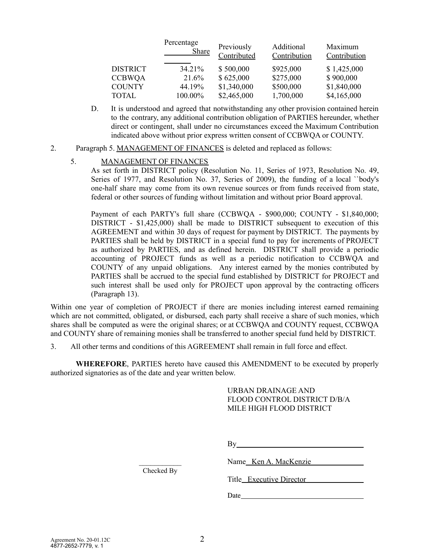|                 | Percentage<br><b>Share</b> | Previously<br>Contributed | Additional<br>Contribution | Maximum<br>Contribution |
|-----------------|----------------------------|---------------------------|----------------------------|-------------------------|
| <b>DISTRICT</b> | 34.21%                     | \$500,000                 | \$925,000                  | \$1,425,000             |
| <b>CCBWQA</b>   | 21.6%                      | \$625,000                 | \$275,000                  | \$900,000               |
| <b>COUNTY</b>   | 44.19%                     | \$1,340,000               | \$500,000                  | \$1,840,000             |
| TOTAL           | 100.00%                    | \$2,465,000               | 1,700,000                  | \$4,165,000             |

- D. It is understood and agreed that notwithstanding any other provision contained herein to the contrary, any additional contribution obligation of PARTIES hereunder, whether direct or contingent, shall under no circumstances exceed the Maximum Contribution indicated above without prior express written consent of CCBWQA or COUNTY.
- 2. Paragraph 5. MANAGEMENT OF FINANCES is deleted and replaced as follows:

## 5. MANAGEMENT OF FINANCES

As set forth in DISTRICT policy (Resolution No. 11, Series of 1973, Resolution No. 49, Series of 1977, and Resolution No. 37, Series of 2009), the funding of a local ``body's one-half share may come from its own revenue sources or from funds received from state, federal or other sources of funding without limitation and without prior Board approval.

Payment of each PARTY's full share (CCBWQA - \$900,000; COUNTY - \$1,840,000; DISTRICT - \$1,425,000) shall be made to DISTRICT subsequent to execution of this AGREEMENT and within 30 days of request for payment by DISTRICT. The payments by PARTIES shall be held by DISTRICT in a special fund to pay for increments of PROJECT as authorized by PARTIES, and as defined herein. DISTRICT shall provide a periodic accounting of PROJECT funds as well as a periodic notification to CCBWQA and COUNTY of any unpaid obligations. Any interest earned by the monies contributed by PARTIES shall be accrued to the special fund established by DISTRICT for PROJECT and such interest shall be used only for PROJECT upon approval by the contracting officers (Paragraph 13).

Within one year of completion of PROJECT if there are monies including interest earned remaining which are not committed, obligated, or disbursed, each party shall receive a share of such monies, which shares shall be computed as were the original shares; or at CCBWQA and COUNTY request, CCBWQA and COUNTY share of remaining monies shall be transferred to another special fund held by DISTRICT.

3. All other terms and conditions of this AGREEMENT shall remain in full force and effect.

**WHEREFORE**, PARTIES hereto have caused this AMENDMENT to be executed by properly authorized signatories as of the date and year written below.

# URBAN DRAINAGE AND FLOOD CONTROL DISTRICT D/B/A MILE HIGH FLOOD DISTRICT

By

Name Ken A. MacKenzie

Title Executive Director

Date and the same state of the state of the state of the state of the state of the state of the state of the state of the state of the state of the state of the state of the state of the state of the state of the state of

Checked By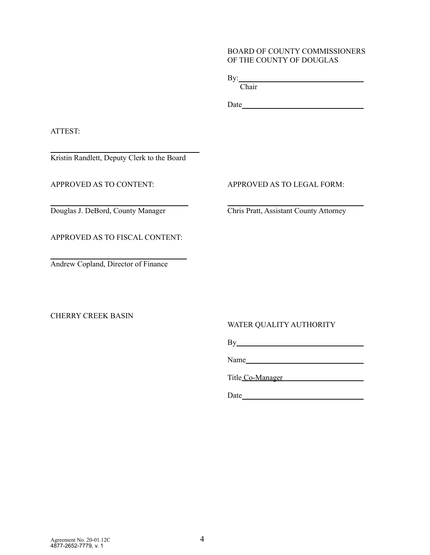### BOARD OF COUNTY COMMISSIONERS OF THE COUNTY OF DOUGLAS

By: <u>second</u> and the second second second second second second second second second second second second second second second second second second second second second second second second second second second second secon

**Chair** 

Date

ATTEST:

Kristin Randlett, Deputy Clerk to the Board

APPROVED AS TO FISCAL CONTENT:

Andrew Copland, Director of Finance

CHERRY CREEK BASIN

# APPROVED AS TO CONTENT: APPROVED AS TO LEGAL FORM:

Douglas J. DeBord, County Manager Chris Pratt, Assistant County Attorney

WATER QUALITY AUTHORITY

By

Name
<u>Samue</u>

Title Co-Manager

Date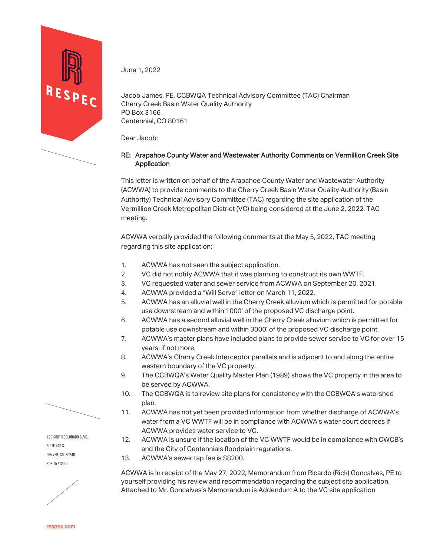

June 1, 2022

Jacob James, PE, CCBWQA Technical Advisory Committee (TAC) Chairman Cherry Creek Basin Water Quality Authority PO Box 3166 Centennial, CO 80161

Dear Jacob:

## RE: Arapahoe County Water and Wastewater Authority Comments on Vermillion Creek Site **Application**

This letter is written on behalf of the Arapahoe County Water and Wastewater Authority (ACWWA) to provide comments to the Cherry Creek Basin Water Quality Authority (Basin Authority) Technical Advisory Committee (TAC) regarding the site application of the Vermillion Creek Metropolitan District (VC) being considered at the June 2, 2022, TAC meeting.

ACWWA verbally provided the following comments at the May 5, 2022, TAC meeting regarding this site application:

- 1. ACWWA has not seen the subject application.<br>2. CC did not notify ACWWA that it was planning
- VC did not notify ACWWA that it was planning to construct its own WWTF.
- 3. VC requested water and sewer service from ACWWA on September 20, 2021.
- 4. ACWWA provided a "Will Serve" letter on March 11, 2022.
- 5. ACWWA has an alluvial well in the Cherry Creek alluvium which is permitted for potable use downstream and within 1000' of the proposed VC discharge point.
- 6. ACWWA has a second alluvial well in the Cherry Creek alluvium which is permitted for potable use downstream and within 3000' of the proposed VC discharge point.
- 7. ACWWA's master plans have included plans to provide sewer service to VC for over 15 years, if not more.
- 8. ACWWA's Cherry Creek Interceptor parallels and is adjacent to and along the entire western boundary of the VC property.
- 9. The CCBWQA's Water Quality Master Plan (1989) shows the VC property in the area to be served by ACWWA.
- 10. The CCBWQA is to review site plans for consistency with the CCBWQA's watershed plan.
- 11. ACWWA has not yet been provided information from whether discharge of ACWWA's water from a VC WWTF will be in compliance with ACWWA's water court decrees if ACWWA provides water service to VC.
- 12. ACWWA is unsure if the location of the VC WWTF would be in compliance with CWCB's and the City of Centennials floodplain regulations.
- 13. ACWWA's sewer tap fee is \$8200.

ACWWA is in receipt of the May 27, 2022, Memorandum from Ricardo (Rick) Goncalves, PE to yourself providing his review and recommendation regarding the subject site application. Attached to Mr. Goncalves's Memorandum is Addendum A to the VC site application

720 South Colorado Blvd. SUITE 410 S Denver, CO 80246 303.757.3655